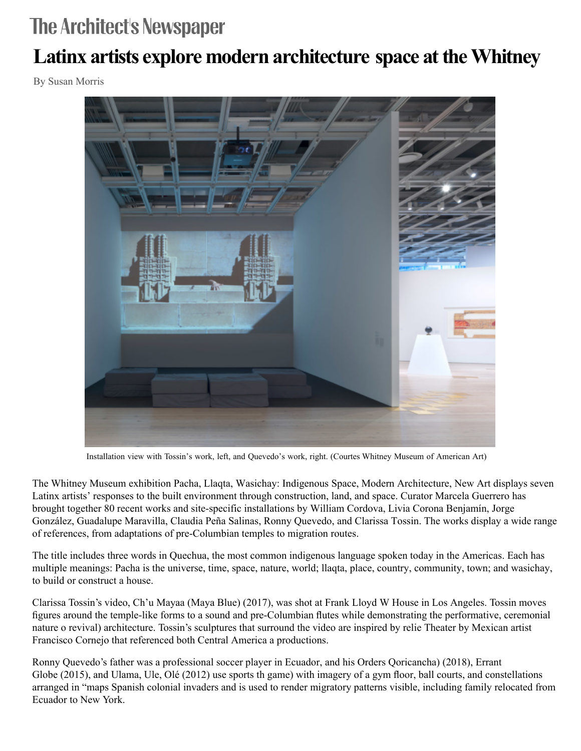## **The Architect's Newspaper**

## **Latinx artists [explore modern architecture space at the Whitney](https://www.archpaper.com/wp-content/uploads/2018/08/Installation-view.-Tossin-left-Quevedo-right.-WMAA_PACHA_LLAQTA_WASICHAY_02B-copy.jpg)**

By Susan Morris



Installation view with Tossin's work, left, and Quevedo's work, right. (Courtes Whitney Museum of American Art)

The Whitney Museum exhibition Pacha, Llaqta, Wasichay: Indigenous Space, Modern Architecture, New Art displays seven Latinx artists' responses to the built environment through construction, land, and space. Curator Marcela Guerrero has brought together 80 recent works and site-specific installations by William Cordova, Livia Corona Benjamín, Jorge González, Guadalupe Maravilla, Claudia Peña Salinas, Ronny Quevedo, and Clarissa Tossin. The works display a wide range of references, from adaptations of pre-Columbian temples to migration routes.

The title includes three words in Quechua, the most common indigenous language spoken today in the Americas. Each has multiple meanings: Pacha is the universe, time, space, nature, world; llaqta, place, country, community, town; and wasichay, to build or construct a house.

Clarissa Tossin's video, Ch'u Mayaa (Maya Blue) (2017), was shot at [Frank Lloyd W](https://www.archpaper.com/tag/frank-lloyd-wright-2/) House in Los Angeles. Tossin moves figures around the temple-like forms to a sound and pre-Columbian flutes while demonstrating the performative, ceremonial nature o revival) architecture. Tossin's [sculptures](https://www.archpaper.com/tag/sculpture/) that surround the video are inspired by relie Theater by Mexican artist Francisco Cornejo that referenced both Central America a productions.

Ronny Quevedo's father was a professional soccer player in Ecuador, and his Orders Qoricancha) (2018), Errant Globe (2015), and Ulama, Ule, Olé (2012) use sports th game) with imagery of a gym floor, ball courts, and constellations arranged in "maps Spanish colonial invaders and is used to render migratory patterns visible, including family relocated from Ecuador to New York.